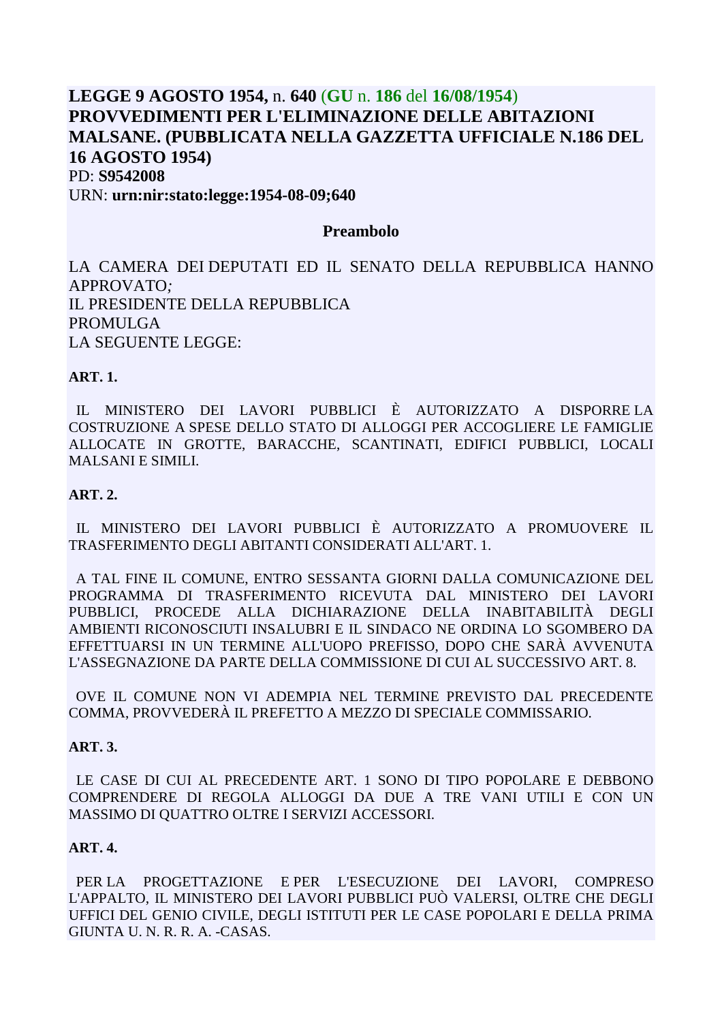# **LEGGE 9 AGOSTO 1954,** n. **640** (**GU** n. **186** del **16/08/1954**) **PROVVEDIMENTI PER L'ELIMINAZIONE DELLE ABITAZIONI MALSANE. (PUBBLICATA NELLA GAZZETTA UFFICIALE N.186 DEL 16 AGOSTO 1954)** PD: **S9542008** URN: **urn:nir:stato:legge:1954-08-09;640**

## **Preambolo**

LA CAMERA DEI DEPUTATI ED IL SENATO DELLA REPUBBLICA HANNO APPROVATO*;* IL PRESIDENTE DELLA REPUBBLICA PROMULGA LA SEGUENTE LEGGE:

## **ART. 1.**

 IL MINISTERO DEI LAVORI PUBBLICI È AUTORIZZATO A DISPORRE LA COSTRUZIONE A SPESE DELLO STATO DI ALLOGGI PER ACCOGLIERE LE FAMIGLIE ALLOCATE IN GROTTE, BARACCHE, SCANTINATI, EDIFICI PUBBLICI, LOCALI MALSANI E SIMILI.

#### **ART. 2.**

 IL MINISTERO DEI LAVORI PUBBLICI È AUTORIZZATO A PROMUOVERE IL TRASFERIMENTO DEGLI ABITANTI CONSIDERATI ALL'ART. 1.

 A TAL FINE IL COMUNE, ENTRO SESSANTA GIORNI DALLA COMUNICAZIONE DEL PROGRAMMA DI TRASFERIMENTO RICEVUTA DAL MINISTERO DEI LAVORI PUBBLICI, PROCEDE ALLA DICHIARAZIONE DELLA INABITABILITÀ DEGLI AMBIENTI RICONOSCIUTI INSALUBRI E IL SINDACO NE ORDINA LO SGOMBERO DA EFFETTUARSI IN UN TERMINE ALL'UOPO PREFISSO, DOPO CHE SARÀ AVVENUTA L'ASSEGNAZIONE DA PARTE DELLA COMMISSIONE DI CUI AL SUCCESSIVO ART. 8.

 OVE IL COMUNE NON VI ADEMPIA NEL TERMINE PREVISTO DAL PRECEDENTE COMMA, PROVVEDERÀ IL PREFETTO A MEZZO DI SPECIALE COMMISSARIO.

## **ART. 3.**

 LE CASE DI CUI AL PRECEDENTE ART. 1 SONO DI TIPO POPOLARE E DEBBONO COMPRENDERE DI REGOLA ALLOGGI DA DUE A TRE VANI UTILI E CON UN MASSIMO DI QUATTRO OLTRE I SERVIZI ACCESSORI.

#### **ART. 4.**

 PER LA PROGETTAZIONE E PER L'ESECUZIONE DEI LAVORI, COMPRESO L'APPALTO, IL MINISTERO DEI LAVORI PUBBLICI PUÒ VALERSI, OLTRE CHE DEGLI UFFICI DEL GENIO CIVILE, DEGLI ISTITUTI PER LE CASE POPOLARI E DELLA PRIMA GIUNTA U. N. R. R. A. -CASAS.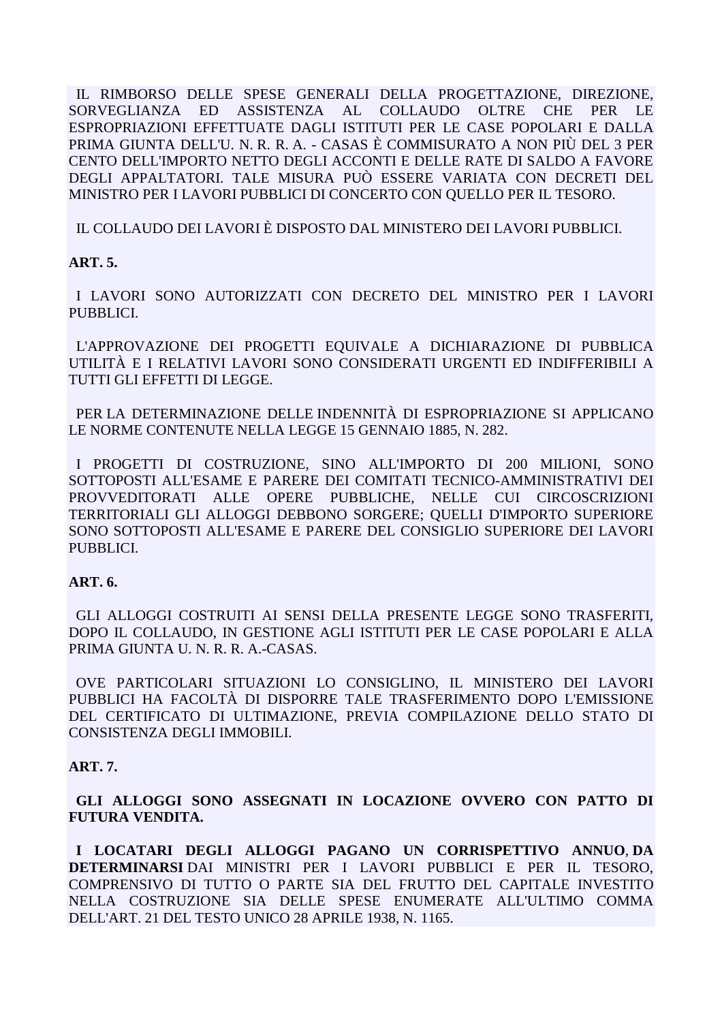IL RIMBORSO DELLE SPESE GENERALI DELLA PROGETTAZIONE, DIREZIONE, ASSISTENZA AL COLLAUDO SORVEGLIANZA ED **OLTRE CHE PER LE** ESPROPRIAZIONI EFFETTUATE DAGLI ISTITUTI PER LE CASE POPOLARI E DALLA PRIMA GIUNTA DELL'U. N. R. R. A. - CASAS È COMMISURATO A NON PIÙ DEL 3 PER CENTO DELL'IMPORTO NETTO DEGLI ACCONTI E DELLE RATE DI SALDO A FAVORE DEGLI APPALTATORI. TALE MISURA PUÒ ESSERE VARIATA CON DECRETI DEL MINISTRO PER I LAVORI PUBBLICI DI CONCERTO CON QUELLO PER IL TESORO.

IL COLLAUDO DEI LAVORI È DISPOSTO DAL MINISTERO DEI LAVORI PUBBLICI.

# $ART. 5.$

I LAVORI SONO AUTORIZZATI CON DECRETO DEL MINISTRO PER I LAVORI PUBBLICI.

L'APPROVAZIONE DEI PROGETTI EQUIVALE A DICHIARAZIONE DI PUBBLICA UTILITÀ E I RELATIVI LAVORI SONO CONSIDERATI URGENTI ED INDIFFERIBILI A TUTTI GLI EFFETTI DI LEGGE.

PER LA DETERMINAZIONE DELLE INDENNITÀ DI ESPROPRIAZIONE SI APPLICANO LE NORME CONTENUTE NELLA LEGGE 15 GENNAIO 1885, N. 282.

I PROGETTI DI COSTRUZIONE. SINO ALL'IMPORTO DI 200 MILIONI. SONO SOTTOPOSTI ALL'ESAME E PARERE DEI COMITATI TECNICO-AMMINISTRATIVI DEI PROVVEDITORATI ALLE OPERE PUBBLICHE, NELLE CUI CIRCOSCRIZIONI TERRITORIALI GLI ALLOGGI DEBBONO SORGERE; QUELLI D'IMPORTO SUPERIORE SONO SOTTOPOSTI ALL'ESAME E PARERE DEL CONSIGLIO SUPERIORE DEI LAVORI PUBBLICI.

## ART. 6.

GLI ALLOGGI COSTRUITI AI SENSI DELLA PRESENTE LEGGE SONO TRASFERITI, DOPO IL COLLAUDO, IN GESTIONE AGLI ISTITUTI PER LE CASE POPOLARI E ALLA PRIMA GIUNTA U. N. R. R. A.-CASAS.

OVE PARTICOLARI SITUAZIONI LO CONSIGLINO, IL MINISTERO DEI LAVORI PUBBLICI HA FACOLTÀ DI DISPORRE TALE TRASFERIMENTO DOPO L'EMISSIONE DEL CERTIFICATO DI ULTIMAZIONE, PREVIA COMPILAZIONE DELLO STATO DI CONSISTENZA DEGLI IMMOBILI.

## **ART. 7.**

GLI ALLOGGI SONO ASSEGNATI IN LOCAZIONE OVVERO CON PATTO DI **FUTURA VENDITA.** 

I LOCATARI DEGLI ALLOGGI PAGANO UN CORRISPETTIVO ANNUO.DA DETERMINARSI DAI MINISTRI PER I LAVORI PUBBLICI E PER IL TESORO, COMPRENSIVO DI TUTTO O PARTE SIA DEL FRUTTO DEL CAPITALE INVESTITO NELLA COSTRUZIONE SIA DELLE SPESE ENUMERATE ALL'ULTIMO COMMA DELL'ART. 21 DEL TESTO UNICO 28 APRILE 1938, N. 1165.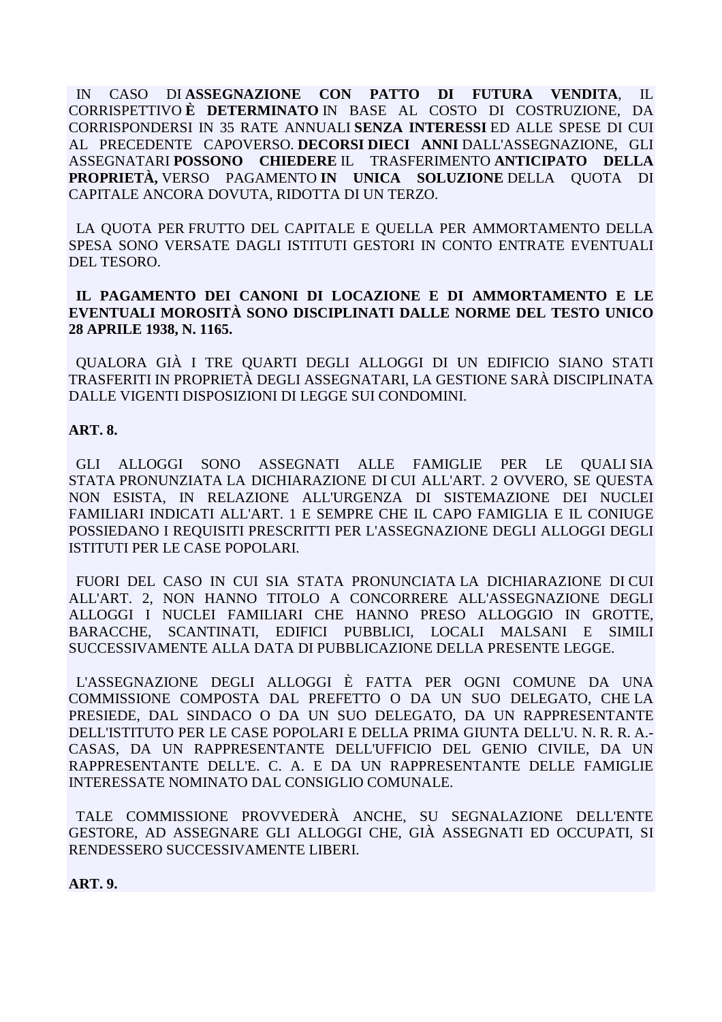IN CASO DIASSEGNAZIONE CON PATTO DI FUTURA VENDITA, IL CORRISPETTIVO È DETERMINATO IN BASE AL COSTO DI COSTRUZIONE, DA CORRISPONDERSI IN 35 RATE ANNUALI SENZA INTERESSI ED ALLE SPESE DI CUI AL PRECEDENTE CAPOVERSO. DECORSI DIECI ANNI DALL'ASSEGNAZIONE, GLI ASSEGNATARI POSSONO CHIEDERE IL TRASFERIMENTO ANTICIPATO DELLA **PROPRIETÀ, VERSO PAGAMENTO IN UNICA SOLUZIONE DELLA OUOTA DI** CAPITALE ANCORA DOVUTA, RIDOTTA DI UN TERZO.

LA OUOTA PER FRUTTO DEL CAPITALE E OUELLA PER AMMORTAMENTO DELLA SPESA SONO VERSATE DAGLI ISTITUTI GESTORI IN CONTO ENTRATE EVENTUALI DEL TESORO.

## IL PAGAMENTO DEI CANONI DI LOCAZIONE E DI AMMORTAMENTO E LE EVENTUALI MOROSITÀ SONO DISCIPLINATI DALLE NORME DEL TESTO UNICO 28 APRILE 1938, N. 1165.

QUALORA GIÀ I TRE QUARTI DEGLI ALLOGGI DI UN EDIFICIO SIANO STATI TRASFERITI IN PROPRIETÀ DEGLI ASSEGNATARI. LA GESTIONE SARÀ DISCIPLINATA DALLE VIGENTI DISPOSIZIONI DI LEGGE SUI CONDOMINI.

## **ART. 8.**

GLI ALLOGGI SONO ASSEGNATI ALLE FAMIGLIE PER LE OUALISIA STATA PRONUNZIATA LA DICHIARAZIONE DI CUI ALL'ART. 2 OVVERO, SE QUESTA NON ESISTA, IN RELAZIONE ALL'URGENZA DI SISTEMAZIONE DEI NUCLEI FAMILIARI INDICATI ALL'ART. 1 E SEMPRE CHE IL CAPO FAMIGLIA E IL CONIUGE POSSIEDANO I REQUISITI PRESCRITTI PER L'ASSEGNAZIONE DEGLI ALLOGGI DEGLI ISTITUTI PER LE CASE POPOLARI.

FUORI DEL CASO IN CUI SIA STATA PRONUNCIATA LA DICHIARAZIONE DI CUI ALL'ART. 2, NON HANNO TITOLO A CONCORRERE ALL'ASSEGNAZIONE DEGLI ALLOGGI I NUCLEI FAMILIARI CHE HANNO PRESO ALLOGGIO IN GROTTE, BARACCHE, SCANTINATI, EDIFICI PUBBLICI, LOCALI MALSANI E SIMILI SUCCESSIVAMENTE ALLA DATA DI PUBBLICAZIONE DELLA PRESENTE LEGGE.

L'ASSEGNAZIONE DEGLI ALLOGGI È FATTA PER OGNI COMUNE DA UNA COMMISSIONE COMPOSTA DAL PREFETTO O DA UN SUO DELEGATO. CHE LA PRESIEDE, DAL SINDACO O DA UN SUO DELEGATO, DA UN RAPPRESENTANTE DELL'ISTITUTO PER LE CASE POPOLARI E DELLA PRIMA GIUNTA DELL'U. N. R. R. A.-CASAS, DA UN RAPPRESENTANTE DELL'UFFICIO DEL GENIO CIVILE, DA UN RAPPRESENTANTE DELL'E. C. A. E DA UN RAPPRESENTANTE DELLE FAMIGLIE INTERESSATE NOMINATO DAL CONSIGLIO COMUNALE.

TALE COMMISSIONE PROVVEDERÀ ANCHE, SU SEGNALAZIONE DELL'ENTE GESTORE, AD ASSEGNARE GLI ALLOGGI CHE, GIÀ ASSEGNATI ED OCCUPATI, SI RENDESSERO SUCCESSIVAMENTE LIBERI.

**ART. 9.**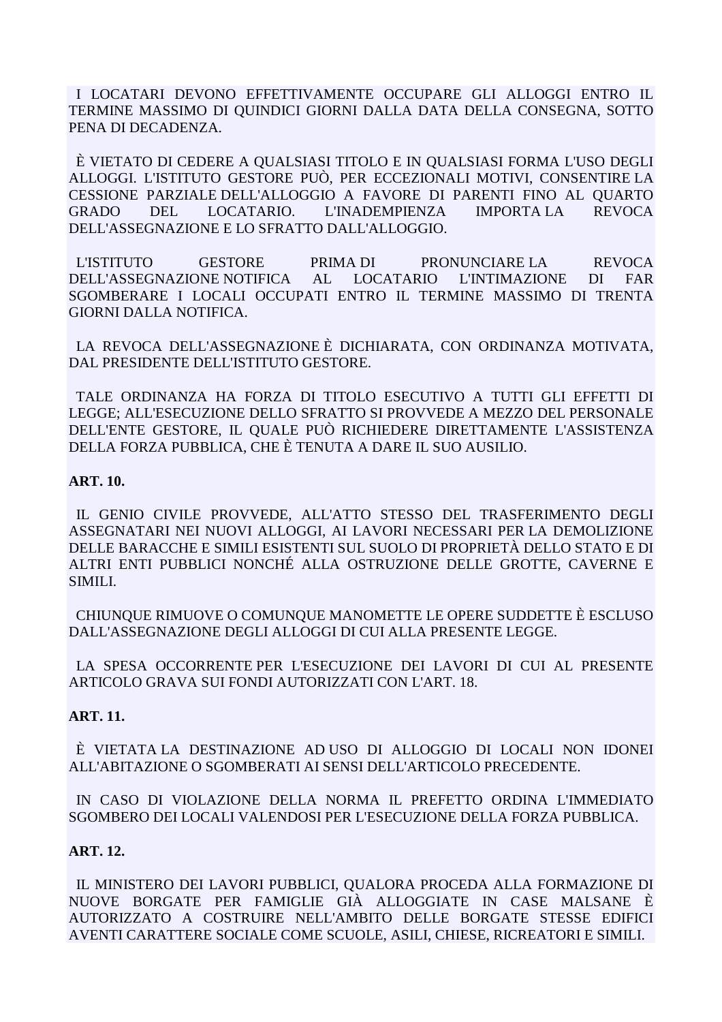I LOCATARI DEVONO EFFETTIVAMENTE OCCUPARE GLI ALLOGGI ENTRO IL TERMINE MASSIMO DI QUINDICI GIORNI DALLA DATA DELLA CONSEGNA, SOTTO PENA DI DECADENZA.

 È VIETATO DI CEDERE A QUALSIASI TITOLO E IN QUALSIASI FORMA L'USO DEGLI ALLOGGI. L'ISTITUTO GESTORE PUÒ, PER ECCEZIONALI MOTIVI, CONSENTIRE LA CESSIONE PARZIALE DELL'ALLOGGIO A FAVORE DI PARENTI FINO AL QUARTO GRADO DEL LOCATARIO. L'INADEMPIENZA IMPORTA LA REVOCA DELL'ASSEGNAZIONE E LO SFRATTO DALL'ALLOGGIO.

 L'ISTITUTO GESTORE PRIMA DI PRONUNCIARE LA REVOCA DELL'ASSEGNAZIONE NOTIFICA AL LOCATARIO L'INTIMAZIONE DI FAR SGOMBERARE I LOCALI OCCUPATI ENTRO IL TERMINE MASSIMO DI TRENTA GIORNI DALLA NOTIFICA.

 LA REVOCA DELL'ASSEGNAZIONE È DICHIARATA, CON ORDINANZA MOTIVATA, DAL PRESIDENTE DELL'ISTITUTO GESTORE.

 TALE ORDINANZA HA FORZA DI TITOLO ESECUTIVO A TUTTI GLI EFFETTI DI LEGGE; ALL'ESECUZIONE DELLO SFRATTO SI PROVVEDE A MEZZO DEL PERSONALE DELL'ENTE GESTORE, IL QUALE PUÒ RICHIEDERE DIRETTAMENTE L'ASSISTENZA DELLA FORZA PUBBLICA, CHE È TENUTA A DARE IL SUO AUSILIO.

## **ART. 10.**

 IL GENIO CIVILE PROVVEDE, ALL'ATTO STESSO DEL TRASFERIMENTO DEGLI ASSEGNATARI NEI NUOVI ALLOGGI, AI LAVORI NECESSARI PER LA DEMOLIZIONE DELLE BARACCHE E SIMILI ESISTENTI SUL SUOLO DI PROPRIETÀ DELLO STATO E DI ALTRI ENTI PUBBLICI NONCHÉ ALLA OSTRUZIONE DELLE GROTTE, CAVERNE E SIMILI.

 CHIUNQUE RIMUOVE O COMUNQUE MANOMETTE LE OPERE SUDDETTE È ESCLUSO DALL'ASSEGNAZIONE DEGLI ALLOGGI DI CUI ALLA PRESENTE LEGGE.

 LA SPESA OCCORRENTE PER L'ESECUZIONE DEI LAVORI DI CUI AL PRESENTE ARTICOLO GRAVA SUI FONDI AUTORIZZATI CON L'ART. 18.

# **ART. 11.**

 È VIETATA LA DESTINAZIONE AD USO DI ALLOGGIO DI LOCALI NON IDONEI ALL'ABITAZIONE O SGOMBERATI AI SENSI DELL'ARTICOLO PRECEDENTE.

 IN CASO DI VIOLAZIONE DELLA NORMA IL PREFETTO ORDINA L'IMMEDIATO SGOMBERO DEI LOCALI VALENDOSI PER L'ESECUZIONE DELLA FORZA PUBBLICA.

# **ART. 12.**

 IL MINISTERO DEI LAVORI PUBBLICI, QUALORA PROCEDA ALLA FORMAZIONE DI NUOVE BORGATE PER FAMIGLIE GIÀ ALLOGGIATE IN CASE MALSANE È AUTORIZZATO A COSTRUIRE NELL'AMBITO DELLE BORGATE STESSE EDIFICI AVENTI CARATTERE SOCIALE COME SCUOLE, ASILI, CHIESE, RICREATORI E SIMILI.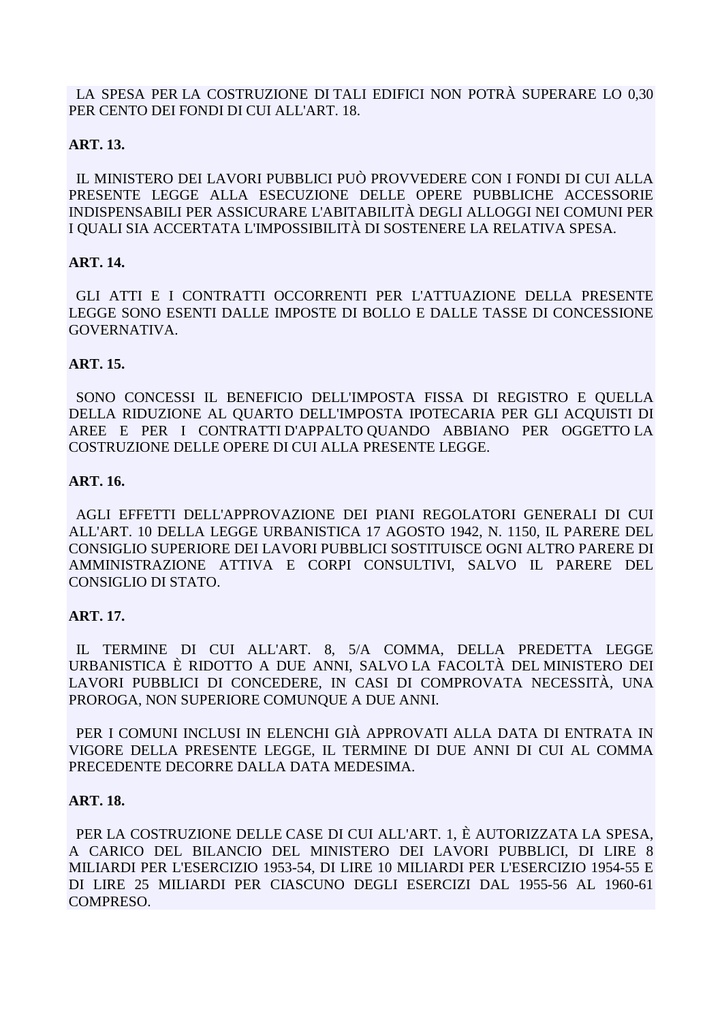LA SPESA PER LA COSTRUZIONE DI TALI EDIFICI NON POTRÀ SUPERARE LO 0,30 PER CENTO DEI FONDI DI CUI ALL'ART. 18.

## **ART. 13.**

 IL MINISTERO DEI LAVORI PUBBLICI PUÒ PROVVEDERE CON I FONDI DI CUI ALLA PRESENTE LEGGE ALLA ESECUZIONE DELLE OPERE PUBBLICHE ACCESSORIE INDISPENSABILI PER ASSICURARE L'ABITABILITÀ DEGLI ALLOGGI NEI COMUNI PER I QUALI SIA ACCERTATA L'IMPOSSIBILITÀ DI SOSTENERE LA RELATIVA SPESA.

## **ART. 14.**

 GLI ATTI E I CONTRATTI OCCORRENTI PER L'ATTUAZIONE DELLA PRESENTE LEGGE SONO ESENTI DALLE IMPOSTE DI BOLLO E DALLE TASSE DI CONCESSIONE GOVERNATIVA.

## **ART. 15.**

 SONO CONCESSI IL BENEFICIO DELL'IMPOSTA FISSA DI REGISTRO E QUELLA DELLA RIDUZIONE AL QUARTO DELL'IMPOSTA IPOTECARIA PER GLI ACQUISTI DI AREE E PER I CONTRATTI D'APPALTO QUANDO ABBIANO PER OGGETTO LA COSTRUZIONE DELLE OPERE DI CUI ALLA PRESENTE LEGGE.

## **ART. 16.**

 AGLI EFFETTI DELL'APPROVAZIONE DEI PIANI REGOLATORI GENERALI DI CUI ALL'ART. 10 DELLA LEGGE URBANISTICA 17 AGOSTO 1942, N. 1150, IL PARERE DEL CONSIGLIO SUPERIORE DEI LAVORI PUBBLICI SOSTITUISCE OGNI ALTRO PARERE DI AMMINISTRAZIONE ATTIVA E CORPI CONSULTIVI, SALVO IL PARERE DEL CONSIGLIO DI STATO.

# **ART. 17.**

 IL TERMINE DI CUI ALL'ART. 8, 5/A COMMA, DELLA PREDETTA LEGGE URBANISTICA È RIDOTTO A DUE ANNI, SALVO LA FACOLTÀ DEL MINISTERO DEI LAVORI PUBBLICI DI CONCEDERE, IN CASI DI COMPROVATA NECESSITÀ, UNA PROROGA, NON SUPERIORE COMUNQUE A DUE ANNI.

 PER I COMUNI INCLUSI IN ELENCHI GIÀ APPROVATI ALLA DATA DI ENTRATA IN VIGORE DELLA PRESENTE LEGGE, IL TERMINE DI DUE ANNI DI CUI AL COMMA PRECEDENTE DECORRE DALLA DATA MEDESIMA.

## **ART. 18.**

 PER LA COSTRUZIONE DELLE CASE DI CUI ALL'ART. 1, È AUTORIZZATA LA SPESA, A CARICO DEL BILANCIO DEL MINISTERO DEI LAVORI PUBBLICI, DI LIRE 8 MILIARDI PER L'ESERCIZIO 1953-54, DI LIRE 10 MILIARDI PER L'ESERCIZIO 1954-55 E DI LIRE 25 MILIARDI PER CIASCUNO DEGLI ESERCIZI DAL 1955-56 AL 1960-61 COMPRESO.